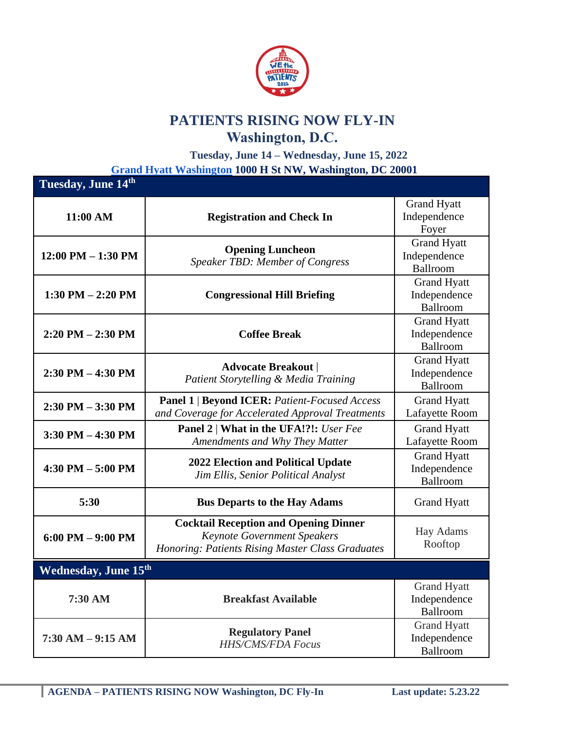

## **PATIENTS RISING NOW FLY-IN Washington, D.C.**

**Tuesday, June 14 – Wednesday, June 15, 2022 [Grand Hyatt Washington](https://www.hyatt.com/en-US/hotel/washington-dc/grand-hyatt-washington/wasgh?src=corp_lclb_gmb_seo_wasgh) 1000 H St NW, Washington, DC 20001**

| Tuesday, June 14th     |                                                                                                                                        |                                                |  |
|------------------------|----------------------------------------------------------------------------------------------------------------------------------------|------------------------------------------------|--|
| 11:00 AM               | <b>Registration and Check In</b>                                                                                                       | <b>Grand Hyatt</b><br>Independence<br>Foyer    |  |
| $12:00$ PM $- 1:30$ PM | <b>Opening Luncheon</b><br><b>Speaker TBD: Member of Congress</b>                                                                      | <b>Grand Hyatt</b><br>Independence<br>Ballroom |  |
| 1:30 PM $-$ 2:20 PM    | <b>Congressional Hill Briefing</b>                                                                                                     | <b>Grand Hyatt</b><br>Independence<br>Ballroom |  |
| $2:20$ PM $- 2:30$ PM  | <b>Coffee Break</b>                                                                                                                    | <b>Grand Hyatt</b><br>Independence<br>Ballroom |  |
| $2:30$ PM $-4:30$ PM   | <b>Advocate Breakout</b><br>Patient Storytelling & Media Training                                                                      | <b>Grand Hyatt</b><br>Independence<br>Ballroom |  |
| $2:30$ PM $-3:30$ PM   | <b>Panel 1   Beyond ICER: Patient-Focused Access</b><br>and Coverage for Accelerated Approval Treatments                               | <b>Grand Hyatt</b><br>Lafayette Room           |  |
| $3:30$ PM $-4:30$ PM   | Panel 2   What in the UFA!?!: User Fee<br>Amendments and Why They Matter                                                               | <b>Grand Hyatt</b><br>Lafayette Room           |  |
| $4:30$ PM $-5:00$ PM   | <b>2022 Election and Political Update</b><br>Jim Ellis, Senior Political Analyst                                                       | <b>Grand Hyatt</b><br>Independence<br>Ballroom |  |
| 5:30                   | <b>Bus Departs to the Hay Adams</b>                                                                                                    | <b>Grand Hyatt</b>                             |  |
| $6:00$ PM $-9:00$ PM   | <b>Cocktail Reception and Opening Dinner</b><br><b>Keynote Government Speakers</b><br>Honoring: Patients Rising Master Class Graduates | Hay Adams<br>Rooftop                           |  |
| Wednesday, June 15th   |                                                                                                                                        |                                                |  |
| 7:30 AM                | <b>Breakfast Available</b>                                                                                                             | <b>Grand Hyatt</b><br>Independence<br>Ballroom |  |
| $7:30$ AM $-9:15$ AM   | <b>Regulatory Panel</b><br><b>HHS/CMS/FDA Focus</b>                                                                                    | <b>Grand Hyatt</b><br>Independence<br>Ballroom |  |